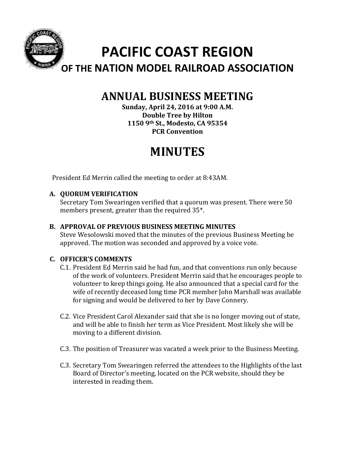

# **ANNUAL BUSINESS MEETING**

**Sunday, April 24, 2016 at 9:00 A.M. Double Tree by Hilton 1150 9th St., Modesto, CA 95354 PCR Convention**

# **MINUTES**

President Ed Merrin called the meeting to order at 8:43AM.

# **A. QUORUM VERIFICATION**

Secretary Tom Swearingen verified that a quorum was present. There were 50 members present, greater than the required  $35^*$ .

# **B. APPROVAL OF PREVIOUS BUSINESS MEETING MINUTES**

Steve Wesolowski moved that the minutes of the previous Business Meeting be approved. The motion was seconded and approved by a voice vote.

# **C. OFFICER'S COMMENTS**

- C.1. President Ed Merrin said he had fun, and that conventions run only because of the work of volunteers. President Merrin said that he encourages people to volunteer to keep things going. He also announced that a special card for the wife of recently deceased long time PCR member John Marshall was available for signing and would be delivered to her by Dave Connery.
- C.2. Vice President Carol Alexander said that she is no longer moving out of state, and will be able to finish her term as Vice President. Most likely she will be moving to a different division.
- C.3. The position of Treasurer was vacated a week prior to the Business Meeting.
- C.3. Secretary Tom Swearingen referred the attendees to the Highlights of the last Board of Director's meeting, located on the PCR website, should they be interested in reading them.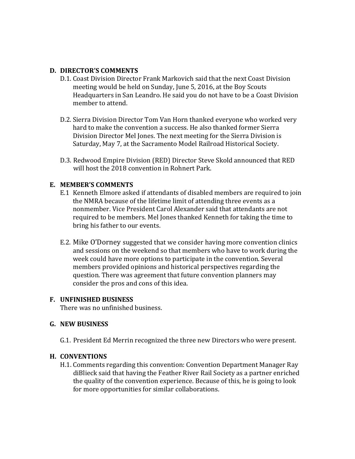#### **D. DIRECTOR'S COMMENTS**

- D.1. Coast Division Director Frank Markovich said that the next Coast Division meeting would be held on Sunday, June 5, 2016, at the Boy Scouts Headquarters in San Leandro. He said you do not have to be a Coast Division member to attend.
- D.2. Sierra Division Director Tom Van Horn thanked everyone who worked very hard to make the convention a success. He also thanked former Sierra Division Director Mel Jones. The next meeting for the Sierra Division is Saturday, May 7, at the Sacramento Model Railroad Historical Society.
- D.3. Redwood Empire Division (RED) Director Steve Skold announced that RED will host the 2018 convention in Rohnert Park.

#### **E. MEMBER'S COMMENTS**

- E.1 Kenneth Elmore asked if attendants of disabled members are required to join the NMRA because of the lifetime limit of attending three events as a nonmember. Vice President Carol Alexander said that attendants are not required to be members. Mel Jones thanked Kenneth for taking the time to bring his father to our events.
- E.2. Mike O'Dorney suggested that we consider having more convention clinics and sessions on the weekend so that members who have to work during the week could have more options to participate in the convention. Several members provided opinions and historical perspectives regarding the question. There was agreement that future convention planners may consider the pros and cons of this idea.

#### **F. UNFINISHED BUSINESS**

There was no unfinished business.

#### **G. NEW BUSINESS**

G.1. President Ed Merrin recognized the three new Directors who were present.

#### **H. CONVENTIONS**

H.1. Comments regarding this convention: Convention Department Manager Ray diBlieck said that having the Feather River Rail Society as a partner enriched the quality of the convention experience. Because of this, he is going to look for more opportunities for similar collaborations.